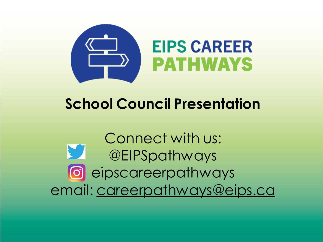

# **School Council Presentation**

Connect with us: **ST** @EIPSpathways eipscareerpathways email: [careerpathways@eips.ca](mailto:careerpathways@eips.ca)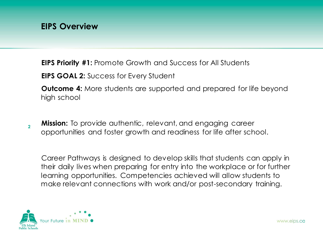**EIPS Priority #1:** Promote Growth and Success for All Students

**EIPS GOAL 2:** Success for Every Student

**Outcome 4:** More students are supported and prepared for life beyond high school

**Mission:** To provide authentic, relevant, and engaging career opportunities and foster growth and readiness for life after school.

Career Pathways is designed to develop skills that students can apply in their daily lives when preparing for entry into the workplace or for further learning opportunities. Competencies achieved will allow students to make relevant connections with work and/or post-secondary training.

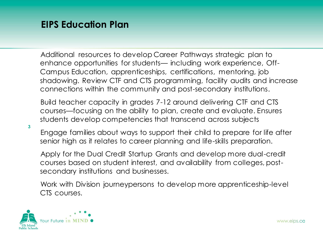## **EIPS Education Plan**

Additional resources to develop Career Pathways strategic plan to enhance opportunities for students— including work experience, Off-Campus Education, apprenticeships, certifications, mentoring, job shadowing. Review CTF and CTS programming, facility audits and increase connections within the community and post-secondary institutions.

Build teacher capacity in grades 7-12 around delivering CTF and CTS courses—focusing on the ability to plan, create and evaluate. Ensures students develop competencies that transcend across subjects

**3**

Engage families about ways to support their child to prepare for life after senior high as it relates to career planning and life-skills preparation.

Apply for the Dual Credit Startup Grants and develop more dual-credit courses based on student interest, and availability from colleges, postsecondary institutions and businesses.

Work with Division journeypersons to develop more apprenticeship-level CTS courses.

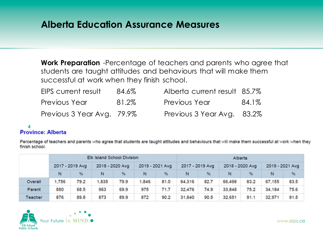### **Alberta Education Assurance Measures**

**Work Preparation** -Percentage of teachers and parents who agree that students are taught attitudes and behaviours that will make them successful at work when they finish school.

| EIPS current result        | 84.6% | Alberta current result 85.7% |       |
|----------------------------|-------|------------------------------|-------|
| Previous Year              | 81.2% | <b>Previous Year</b>         | 84.1% |
| Previous 3 Year Avg. 79.9% |       | Previous 3 Year Avg. 83.2%   |       |

### 4<br>**Province: Alberta**

Percentage of teachers and parents who agree that students are taught attitudes and behaviours that will make them successful at work when they finish school.

|         | Elk Island School Division |      |                 |      | Alberta         |      |                 |      |                 |      |                 |      |  |
|---------|----------------------------|------|-----------------|------|-----------------|------|-----------------|------|-----------------|------|-----------------|------|--|
|         | 2017 - 2019 Avg            |      | 2018 - 2020 Avg |      | 2019 - 2021 Avg |      | 2017 - 2019 Avg |      | 2018 - 2020 Avg |      | 2019 - 2021 Avg |      |  |
|         | N                          | %    | N               | %    | N               | %    | N               | %    | N               | %    | N               | %    |  |
| Overall | 1.756                      | 79.2 | .835            | 79.9 | 1,846           | 81.0 | 64,316          | 82.7 | 66,498          | 83.2 | 67,155          | 83.5 |  |
| Parent  | 880                        | 68.5 | 963             | 69.9 | 975             | 71.7 | 32.476          | 74.9 | 33,848          | 75.2 | 34,184          | 75.6 |  |
| Teacher | 876                        | 89.8 | 873             | 89.9 | 872             | 90.2 | 31,840          | 90.5 | 32,651          | 91.1 | 32,971          | 91.5 |  |

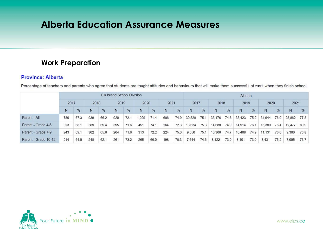### **Alberta Education Assurance Measures**

### **Work Preparation**

#### **Province: Alberta**

|                      | <b>Elk Island School Division</b> |              |     |      |              |      |      | Alberta |     |      |        |      |        |      |        |      |        |      |        |      |
|----------------------|-----------------------------------|--------------|-----|------|--------------|------|------|---------|-----|------|--------|------|--------|------|--------|------|--------|------|--------|------|
|                      |                                   | 2017<br>2018 |     |      | 2020<br>2019 |      | 2021 |         |     | 2017 |        | 2018 |        | 2019 |        | 2020 |        | 2021 |        |      |
|                      | N                                 | %            | N   | $\%$ | N            | %    | N    | %       | N   | $\%$ | N      | $\%$ | N      | %    | N      | %    | N      | $\%$ | N      | $\%$ |
| Parent - All         | 780                               | 67.3         | 939 | 66.2 | 920          | 72.1 | .029 | 71.4    | 686 | 74.9 | 30,828 | 75.1 | 33,176 | 74.6 | 33,423 | 75.2 | 34,944 | 76.0 | 28,862 | 77.8 |
| Parent - Grade 4-6   | 323                               | 68.1         | 389 | 69.4 | 395          | 71.6 | 451  | 74.1    | 264 | 72.3 | 13,634 | 75.3 | 14,688 | 74.9 | 14,914 | 76.1 | 15,380 | 76.4 | 12,477 | 80.9 |
| Parent - Grade 7-9   | 243                               | 69.1         | 302 | 65.6 | 264          | 71.6 | 313  | 72.2    | 224 | 75.0 | 9,550  | 75.1 | 10,366 | 74.7 | 10.408 | 74.9 | 11,131 | 76.0 | 9,380  | 76.8 |
| Parent - Grade 10-12 | 214                               | 64.0         | 248 | 62.7 | 261          | 73.2 | 265  | 66.0    | 198 | 78.3 | .644   | 74.6 | 8,122  | 73.9 | 8,101  | 73.9 | 8,431  | 75.2 | 7,005  | 73.7 |

Percentage of teachers and parents who agree that students are taught attitudes and behaviours that will make them successful at work when they finish school.

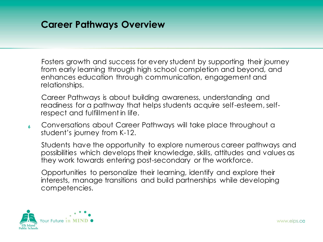### **Career Pathways Overview**

Fosters growth and success for every student by supporting their journey from early learning through high school completion and beyond, and enhances education through communication, engagement and relationships.

Career Pathways is about building awareness, understanding and readiness for a pathway that helps students acquire self-esteem, selfrespect and fulfillment in life.

**6** Conversations about Career Pathways will take place throughout a student's journey from K-12.

Students have the opportunity to explore numerous career pathways and possibilities which develops their knowledge, skills, attitudes and values as they work towards entering post-secondary or the workforce.

Opportunities to personalize their learning, identify and explore their interests, manage transitions and build partnerships while developing competencies.

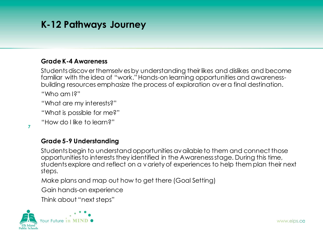## **K-12 Pathways Journey**

### **Grade K-4 Awareness**

Students discover themselves by understanding their likes and dislikes and become familiar with the idea of "work." Hands-on learning opportunities and awarenessbuilding resources emphasize the process of exploration over a final destination. "Who am I?"

"What are my interests?"

"What is possible for me?"

"How do I like to learn?"

### **Grade 5-9 Understanding**

Students begin to understand opportunities available to them and connect those opportunities to interests they identified in the Awareness stage. During this time, students explore and reflect on a variety of experiences to help them plan their next steps.

Make plans and map out how to get there (Goal Setting)

Gain hands-on experience

Think about "next steps"

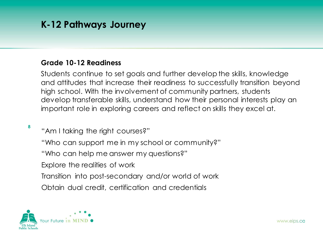## **K-12 Pathways Journey**

### **Grade 10-12 Readiness**

Students continue to set goals and further develop the skills, knowledge and attitudes that increase their readiness to successfully transition beyond high school. With the involvement of community partners, students develop transferable skills, understand how their personal interests play an important role in exploring careers and reflect on skills they excel at.

**8**

"Am I taking the right courses?"

"Who can support me in my school or community?"

"Who can help me answer my questions?"

Explore the realities of work

Transition into post-secondary and/or world of work

Obtain dual credit, certification and credentials

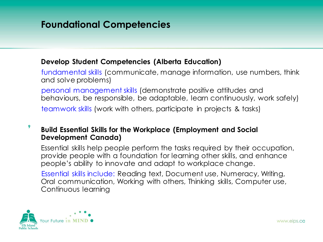## **Foundational Competencies**

### **Develop Student Competencies (Alberta Education)**

fundamental skills (communicate, manage information, use numbers, think and solve problems)

personal management skills (demonstrate positive attitudes and behaviours, be responsible, be adaptable, learn continuously, work safely)

teamwork skills (work with others, participate in projects & tasks)

#### **9 Build Essential Skills for the Workplace (Employment and Social Development Canada)**

Essential skills help people perform the tasks required by their occupation, provide people with a foundation for learning other skills, and enhance people's ability to innovate and adapt to workplace change.

Essential skills include: Reading text, Document use, Numeracy, Writing, Oral communication, Working with others, Thinking skills, Computer use, Continuous learning

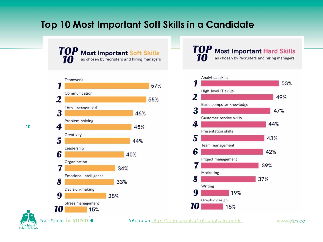## **Top 10 Most Important Soft Skills in a Candidate**



TOP **Most Important Hard Skills** as chosen by recruiters and hiring managers



**10**

Your Future in MIND  $\bullet$ **Elk Island Public Schools** 

*Taken from : [https://zety.com /blog/skills-employers-look-for](https://zety.com/blog/skills-employers-look-for)*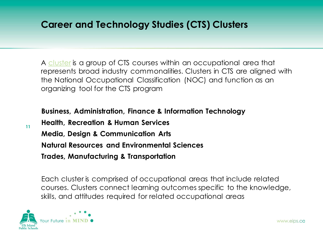## **Career and Technology Studies (CTS) Clusters**

A [cluster](https://www.learnalberta.ca/content/ctsg/wi/wi_compass.html) is a group of CTS courses within an occupational area that represents broad industry commonalities. Clusters in CTS are aligned with the National Occupational Classification (NOC) and function as an organizing tool for the CTS program

**Business, Administration, Finance & Information Technology Health, Recreation & Human Services Media, Design & Communication Arts Natural Resources and Environmental Sciences Trades, Manufacturing & Transportation**

Each cluster is comprised of occupational areas that include related courses. Clusters connect learning outcomes specific to the knowledge, skills, and attitudes required for related occupational areas



**11**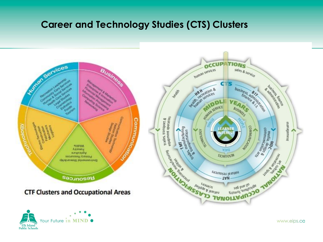### **Career and Technology Studies (CTS) Clusters**



**Elk Island Public Schools**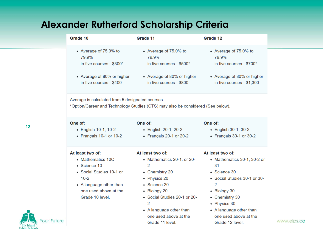## **Alexander Rutherford Scholarship Criteria**

| Grade 10                                                                                                                           | Grade 11                                                                                                            | Grade 12                                                                                                              |  |  |  |  |  |  |
|------------------------------------------------------------------------------------------------------------------------------------|---------------------------------------------------------------------------------------------------------------------|-----------------------------------------------------------------------------------------------------------------------|--|--|--|--|--|--|
| • Average of 75.0% to<br>79.9%<br>in five courses - \$300*<br>• Average of 80% or higher<br>in five courses - \$400                | • Average of 75.0% to<br>79.9%<br>in five courses - \$500*<br>• Average of 80% or higher<br>in five courses - \$800 | • Average of 75.0% to<br>79.9%<br>in five courses - \$700*<br>• Average of 80% or higher<br>in five courses - \$1,300 |  |  |  |  |  |  |
| Average is calculated from 5 designated courses<br>*Option/Career and Technology Studies (CTS) may also be considered (See below). |                                                                                                                     |                                                                                                                       |  |  |  |  |  |  |
| One of:                                                                                                                            | One of:                                                                                                             | One of:                                                                                                               |  |  |  |  |  |  |

#### **13**

- English 10-1, 10-2
	- Français 10-1 or 10-2
- English 20-1, 20-2
- Français 20-1 or 20-2
- One of:
	- English 30-1, 30-2
	- Français 30-1 or 30-2

#### At least two of:

- Mathematics 10C
- · Science 10
- Social Studies 10-1 or  $10-2$
- A language other than one used above at the Grade 10 level.

#### At least two of:

- Mathematics 20-1, or 20- $\overline{2}$
- Chemistry 20
- Physics 20
- Science 20
- Biology 20
- Social Studies 20-1 or 20- $\overline{2}$
- A language other than one used above at the Grade 11 level.

#### At least two of:

- Mathematics 30-1, 30-2 or 31
- Science 30
- Social Studies 30-1 or 30- $\overline{2}$
- Biology 30
- Chemistry 30
- Physics 30
- A language other than one used above at the Grade 12 level.

www.eips.ca

our Future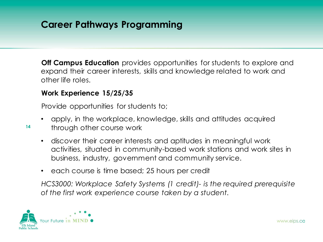**Off Campus Education** provides opportunities for students to explore and expand their career interests, skills and knowledge related to work and other life roles.

### **Work Experience 15/25/35**

Provide opportunities for students to;

- apply, in the workplace, knowledge, skills and attitudes acquired
- through other course work
	- discover their career interests and aptitudes in meaningful work activities, situated in community-based work stations and work sites in business, industry, government and community service.
	- each course is time based; 25 hours per credit

*HCS3000: Workplace Safety Systems (1 credit)- is the required prerequisite of the first work experience course taken by a student.*

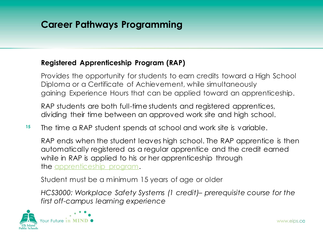### **Registered Apprenticeship Program (RAP)**

Provides the opportunity for students to earn credits toward a High School Diploma or a Certificate of Achievement, while simultaneously gaining Experience Hours that can be applied toward an apprenticeship.

RAP students are both full-time students and registered apprentices, dividing their time between an approved work site and high school.

**15** The time a RAP student spends at school and work site is variable.

RAP ends when the student leaves high school. The RAP apprentice is then automatically registered as a regular apprentice and the credit earned while in RAP is applied to his or her apprenticeship through the [apprenticeship program.](https://tradesecrets.alberta.ca/learn-on-the-job/what-is-apprenticeship/)

Student must be a minimum 15 years of age or older

*HCS3000: Workplace Safety Systems (1 credit)– prerequisite course for the first off-campus learning experience*

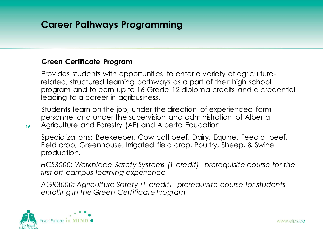### **Green Certificate Program**

Provides students with opportunities to enter a variety of agriculturerelated, structured learning pathways as a part of their high school program and to earn up to 16 Grade 12 diploma credits and a credential leading to a career in agribusiness.

Students learn on the job, under the direction of experienced farm personnel and under the supervision and administration of Alberta Agriculture and Forestry (AF) and Alberta Education.

Specializations: Beekeeper, Cow calf beef, Dairy, Equine, Feedlot beef, Field crop, Greenhouse, Irrigated field crop, Poultry, Sheep, & Swine production.

*HCS3000: Workplace Safety Systems (1 credit)– prerequisite course for the first off-campus learning experience*

*AGR3000: Agriculture Safety (1 credit)– prerequisite course for students enrolling in the Green Certificate Program*

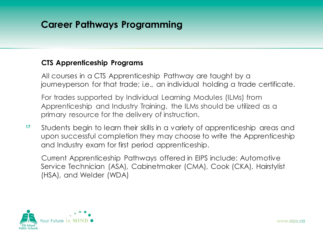### **CTS Apprenticeship Programs**

All courses in a CTS Apprenticeship Pathway are taught by a journeyperson for that trade; i.e., an individual holding a trade certificate.

For trades supported by Individual Learning Modules (ILMs) from Apprenticeship and Industry Training, the ILMs should be utilized as a primary resource for the delivery of instruction.

**17** Students begin to learn their skills in a variety of apprenticeship areas and upon successful completion they may choose to write the Apprenticeship and Industry exam for first period apprenticeship.

Current Apprenticeship Pathways offered in EIPS include: Automotive Service Technician (ASA), Cabinetmaker (CMA), Cook (CKA), Hairstylist (HSA), and Welder (WDA)

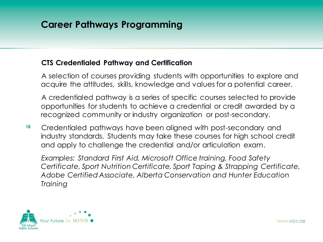### **CTS Credentialed Pathway and Certification**

A selection of courses providing students with opportunities to explore and acquire the attitudes, skills, knowledge and values for a potential career.

A credentialed pathway is a series of specific courses selected to provide opportunities for students to achieve a credential or credit awarded by a recognized community or industry organization or post-secondary.

**18** Credentialed pathways have been aligned with post-secondary and industry standards. Students may take these courses for high school credit and apply to challenge the credential and/or articulation exam.

*Examples: Standard First Aid, Microsoft Office training, Food Safety Certificate, Sport Nutrition Certificate, Sport Taping & Strapping Certificate, Adobe Certified Associate, Alberta Conservation and Hunter Education Training* 

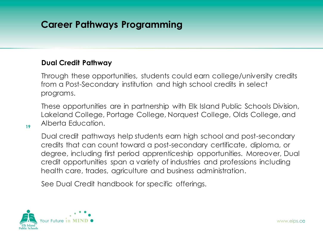### **Dual Credit Pathway**

Through these opportunities, students could earn college/university credits from a Post-Secondary institution and high school credits in select programs.

These opportunities are in partnership with Elk Island Public Schools Division, Lakeland College, Portage College, Norquest College, Olds College, and Alberta Education.

Dual credit pathways help students earn high school and post-secondary credits that can count toward a post-secondary certificate, diploma, or degree, including first period apprenticeship opportunities. Moreover, Dual credit opportunities span a variety of industries and professions including health care, trades, agriculture and business administration.

See Dual Credit handbook for specific offerings.

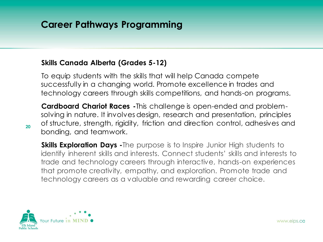### **Skills Canada Alberta (Grades 5-12)**

To equip students with the skills that will help Canada compete successfully in a changing world. Promote excellence in trades and technology careers through skills competitions, and hands-on programs.

**Cardboard Chariot Races -**This challenge is open-ended and problemsolving in nature. It involves design, research and presentation, principles of structure, strength, rigidity, friction and direction control, adhesives and bonding, and teamwork.

**Skills Exploration Days** - The purpose is to Inspire Junior High students to identify inherent skills and interests. Connect students' skills and interests to trade and technology careers through interactive, hands-on experiences that promote creativity, empathy, and exploration. Promote trade and technology careers as a valuable and rewarding career choice.



**20**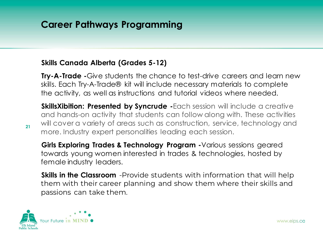### **Skills Canada Alberta (Grades 5-12)**

**Try-A-Trade -**Give students the chance to test-drive careers and learn new skills. Each Try-A-Trade® kit will include necessary materials to complete the activity, as well as instructions and tutorial videos where needed.

**SkillsXibition: Presented by Syncrude -Each session will include a creative** and hands-on activity that students can follow along with. These activities will cover a variety of areas such as construction, service, technology and more. Industry expert personalities leading each session.

**Girls Exploring Trades & Technology Program -**Various sessions geared towards young women interested in trades & technologies, hosted by female industry leaders.

**Skills in the Classroom** -Provide students with information that will help them with their career planning and show them where their skills and passions can take them.

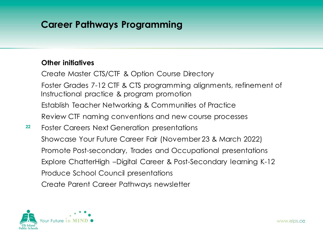### **Other initiatives**

Create Master CTS/CTF & Option Course Directory Foster Grades 7-12 CTF & CTS programming alignments, refinement of Instructional practice & program promotion Establish Teacher Networking & Communities of Practice Review CTF naming conventions and new course processes Foster Careers Next Generation presentations Showcase Your Future Career Fair (November 23 & March 2022) Promote Post-secondary, Trades and Occupational presentations Explore ChatterHigh –Digital Career & Post-Secondary learning K-12

Produce School Council presentations

Create Parent Career Pathways newsletter